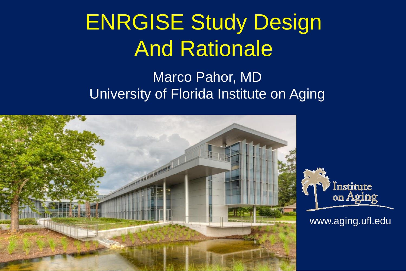# ENRGISE Study Design And Rationale

#### Marco Pahor, MD University of Florida Institute on Aging

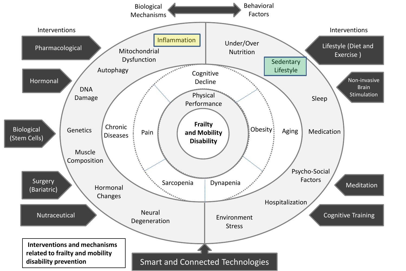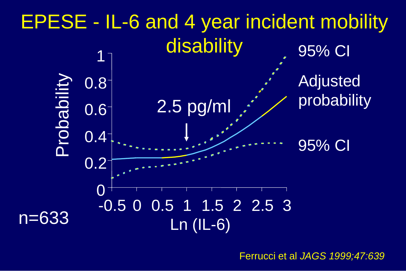

Ferrucci et al *JAGS 1999;47:639*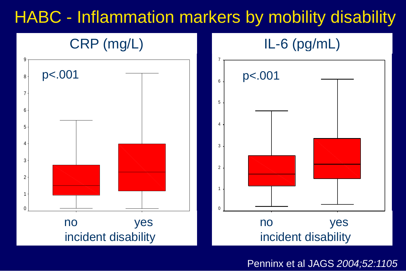#### HABC - Inflammation markers by mobility disability



Penninx et al JAGS *2004;52:1105*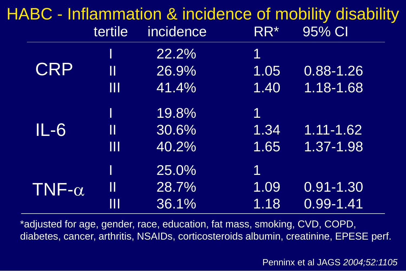|               |                     |           |      | HABC - Inflammation & incidence of mobility disability |
|---------------|---------------------|-----------|------|--------------------------------------------------------|
|               | tertile             | incidence | RR*  | 95% CI                                                 |
|               |                     | 22.2%     | 1    |                                                        |
| <b>CRP</b>    | $\mathbf \mathbf I$ | 26.9%     | 1.05 | $0.88 - 1.26$                                          |
|               | $\mathbf{III}$      | 41.4%     | 1.40 | 1.18-1.68                                              |
|               |                     | 19.8%     | 1    |                                                        |
| $IL-6$        | $\prod$             | 30.6%     | 1.34 | $1.11 - 1.62$                                          |
|               | $\mathbf{III}$      | 40.2%     | 1.65 | 1.37-1.98                                              |
|               |                     | 25.0%     | 1    |                                                        |
| TNF- $\alpha$ | $\mathbf \mathbf I$ | 28.7%     | 1.09 | $0.91 - 1.30$                                          |
|               | Ш                   | 36.1%     | 1.18 | $0.99 - 1.41$                                          |

\*adjusted for age, gender, race, education, fat mass, smoking, CVD, COPD, diabetes, cancer, arthritis, NSAIDs, corticosteroids albumin, creatinine, EPESE perf.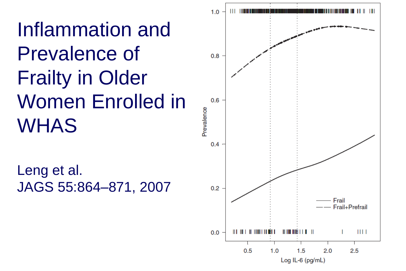Inflammation and Prevalence of Frailty in Older Women Enrolled in WHAS

Leng et al. JAGS 55:864–871, 2007

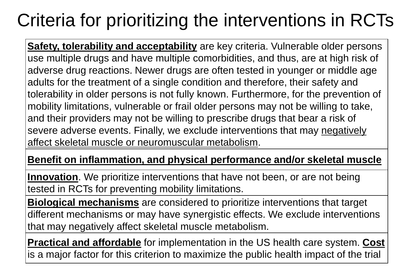#### Criteria for prioritizing the interventions in RCTs

**Safety, tolerability and acceptability** are key criteria. Vulnerable older persons use multiple drugs and have multiple comorbidities, and thus, are at high risk of adverse drug reactions. Newer drugs are often tested in younger or middle age adults for the treatment of a single condition and therefore, their safety and tolerability in older persons is not fully known. Furthermore, for the prevention of mobility limitations, vulnerable or frail older persons may not be willing to take, and their providers may not be willing to prescribe drugs that bear a risk of severe adverse events. Finally, we exclude interventions that may negatively affect skeletal muscle or neuromuscular metabolism.

#### **Benefit on inflammation, and physical performance and/or skeletal muscle**

**Innovation**. We prioritize interventions that have not been, or are not being tested in RCTs for preventing mobility limitations.

**Biological mechanisms** are considered to prioritize interventions that target different mechanisms or may have synergistic effects. We exclude interventions that may negatively affect skeletal muscle metabolism.

**Practical and affordable** for implementation in the US health care system. **Cost** is a major factor for this criterion to maximize the public health impact of the trial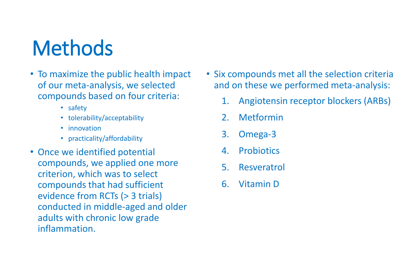## **Methods**

- To maximize the public health impact of our meta-analysis, we selected compounds based on four criteria:
	- safety
	- tolerability/acceptability
	- innovation
	- practicality/affordability
- Once we identified potential compounds, we applied one more criterion, which was to select compounds that had sufficient evidence from RCTs (> 3 trials) conducted in middle-aged and older adults with chronic low grade inflammation.
- Six compounds met all the selection criteria and on these we performed meta-analysis:
	- 1. Angiotensin receptor blockers (ARBs)
	- 2. Metformin
	- 3. Omega-3
	- 4. Probiotics
	- 5. Resveratrol
	- 6. Vitamin D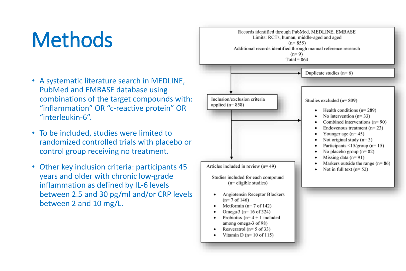#### **Methods**

- A systematic literature search in MEDLINE, PubMed and EMBASE database using combinations of the target compounds with: "inflammation" OR "c-reactive protein" OR "interleukin-6".
- To be included, studies were limited to randomized controlled trials with placebo or control group receiving no treatment.
- Other key inclusion criteria: participants 45 years and older with chronic low-grade inflammation as defined by IL-6 levels between 2.5 and 30 pg/ml and/or CRP levels between 2 and 10 mg/L.

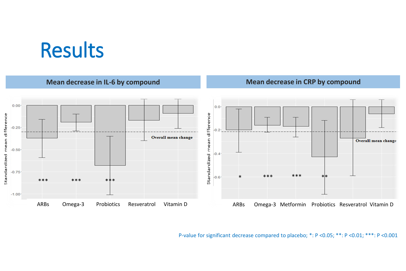#### Results



P-value for significant decrease compared to placebo; \*: P <0.05; \*\*: P <0.01; \*\*\*: P <0.001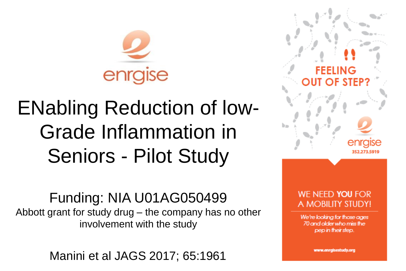

## ENabling Reduction of low-Grade Inflammation in Seniors - Pilot Study

Funding: NIA U01AG050499 Abbott grant for study drug – the company has no other involvement with the study

Manini et al JAGS 2017; 65:1961 1111 1121 1121 1122 1123 1124 1125 1126 1127 1127 1128 1129 1121 1121 1121 112

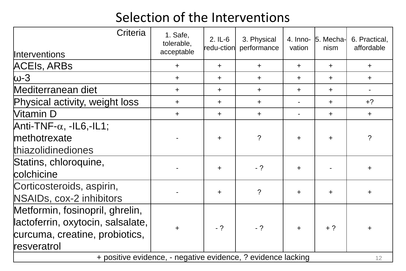#### Selection of the Interventions

| Criteria                                                           | 1. Safe,<br>tolerable,<br>acceptable | $2.1-L-6$<br>redu-ction | 3. Physical<br>performance | $4.$ Inno-<br>vation | 5. Mecha-<br>nism | 6. Practical,<br>affordable |  |  |
|--------------------------------------------------------------------|--------------------------------------|-------------------------|----------------------------|----------------------|-------------------|-----------------------------|--|--|
| <b>Interventions</b><br><b>ACEIS, ARBS</b>                         |                                      |                         |                            | $+$                  |                   | $+$                         |  |  |
|                                                                    | $\pm$                                | $\ddag$                 | $\pm$                      |                      | $\pm$             |                             |  |  |
| ω-3                                                                | $\pm$                                | $\pm$                   | $\pm$                      | $\ddot{}$            | $\pm$             | $+$                         |  |  |
| Mediterranean diet                                                 | $\pm$                                | $\pm$                   | $\pm$                      | $\pm$                | $\pm$             |                             |  |  |
| Physical activity, weight loss                                     | $+$                                  | $+$                     | $\pm$                      |                      | $+$               | $+?$                        |  |  |
| Vitamin D                                                          | $\pm$                                | $+$                     | $+$                        |                      | $\pm$             | $+$                         |  |  |
| Anti-TNF- $\alpha$ , -IL6,-IL1;                                    |                                      |                         |                            |                      |                   |                             |  |  |
| methotrexate                                                       |                                      | $+$                     | $\overline{?}$             | $\pm$                | $\pm$             | $\overline{?}$              |  |  |
| thiazolidinediones                                                 |                                      |                         |                            |                      |                   |                             |  |  |
| Statins, chloroquine,                                              |                                      |                         | $- ?$                      |                      |                   |                             |  |  |
| colchicine                                                         |                                      | $\pm$                   |                            | $\pm$                |                   | $\pm$                       |  |  |
| Corticosteroids, aspirin,                                          |                                      | $\ddot{}$               | $\overline{?}$             | $\pm$                | $\pm$             | $\pm$                       |  |  |
| NSAIDs, cox-2 inhibitors                                           |                                      |                         |                            |                      |                   |                             |  |  |
| Metformin, fosinopril, ghrelin,                                    |                                      |                         |                            |                      |                   |                             |  |  |
| lactoferrin, oxytocin, salsalate,                                  | $\pm$                                | $-2$                    | $-2$                       | $\pm$                | $+$ ?             | ┿                           |  |  |
| curcuma, creatine, probiotics,                                     |                                      |                         |                            |                      |                   |                             |  |  |
| resveratrol                                                        |                                      |                         |                            |                      |                   |                             |  |  |
| + positive evidence, - negative evidence, ? evidence lacking<br>12 |                                      |                         |                            |                      |                   |                             |  |  |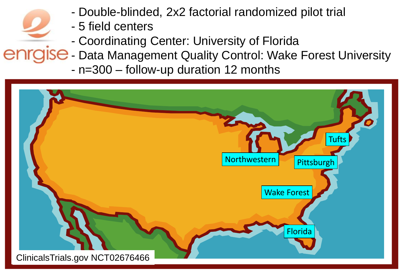- Double-blinded, 2x2 factorial randomized pilot trial
- 5 field centers
- Coordinating Center: University of Florida
- enrgise Data Management Quality Control: Wake Forest University
	- n=300 follow-up duration 12 months

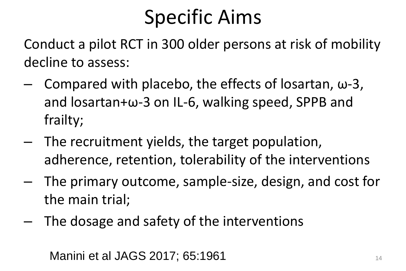#### Specific Aims

Conduct a pilot RCT in 300 older persons at risk of mobility decline to assess:

- Compared with placebo, the effects of losartan, ω-3, and losartan+ω-3 on IL-6, walking speed, SPPB and frailty;
- The recruitment yields, the target population, adherence, retention, tolerability of the interventions
- The primary outcome, sample-size, design, and cost for the main trial;
- The dosage and safety of the interventions

**Manini et al JAGS 2017; 65:1961** 14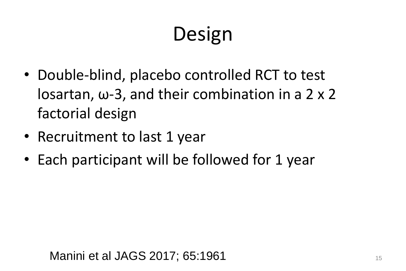# Design

- Double-blind, placebo controlled RCT to test losartan, ω-3, and their combination in a 2 x 2 factorial design
- Recruitment to last 1 year
- Each participant will be followed for 1 year